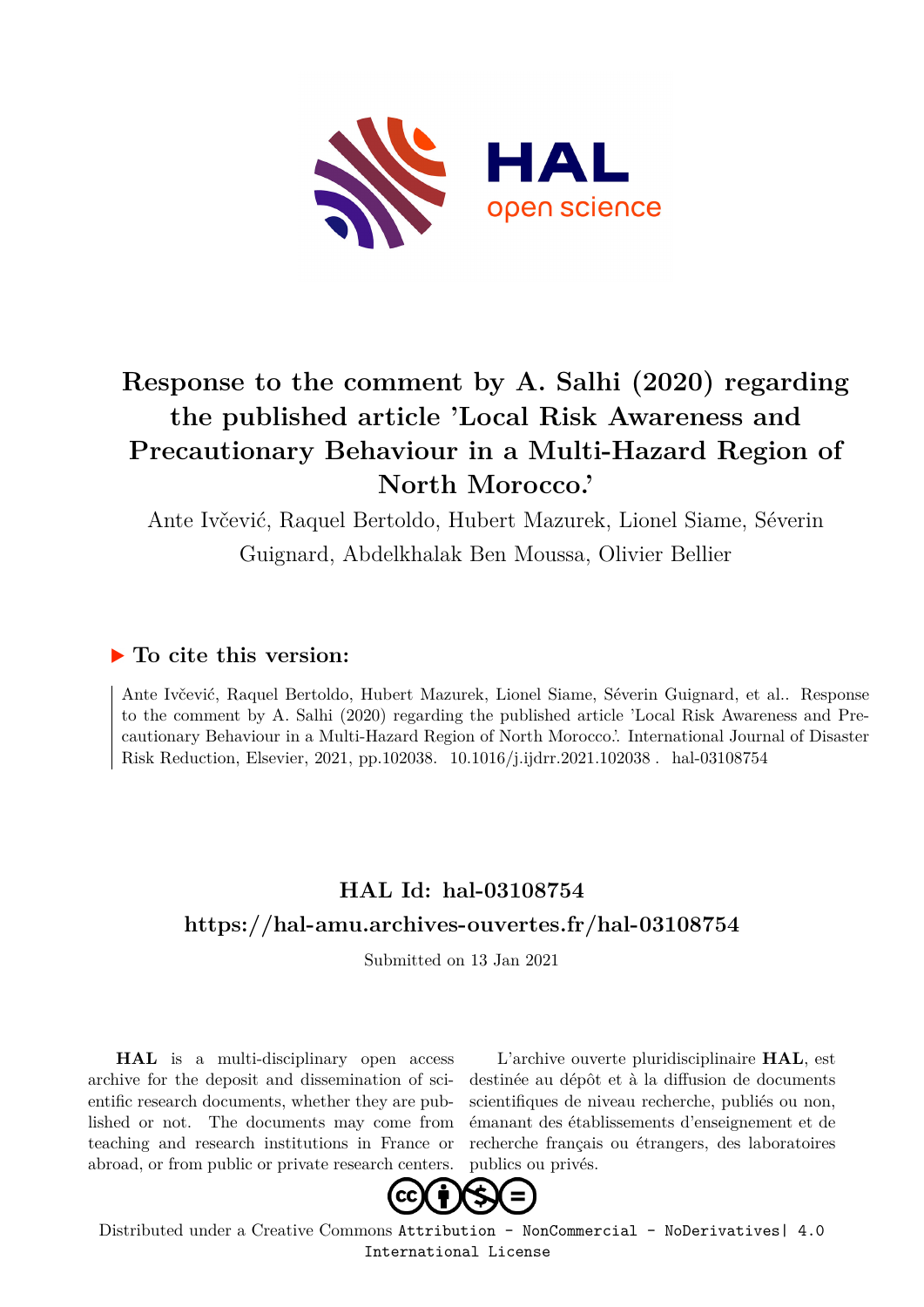

# **Response to the comment by A. Salhi (2020) regarding the published article 'Local Risk Awareness and Precautionary Behaviour in a Multi-Hazard Region of North Morocco.'**

Ante Ivčević, Raquel Bertoldo, Hubert Mazurek, Lionel Siame, Séverin Guignard, Abdelkhalak Ben Moussa, Olivier Bellier

### **To cite this version:**

Ante Ivčević, Raquel Bertoldo, Hubert Mazurek, Lionel Siame, Séverin Guignard, et al.. Response to the comment by A. Salhi (2020) regarding the published article 'Local Risk Awareness and Precautionary Behaviour in a Multi-Hazard Region of North Morocco.'. International Journal of Disaster Risk Reduction, Elsevier, 2021, pp.102038. 10.1016/j.ijdrr.2021.102038. hal-03108754

## **HAL Id: hal-03108754 <https://hal-amu.archives-ouvertes.fr/hal-03108754>**

Submitted on 13 Jan 2021

**HAL** is a multi-disciplinary open access archive for the deposit and dissemination of scientific research documents, whether they are published or not. The documents may come from teaching and research institutions in France or abroad, or from public or private research centers.

L'archive ouverte pluridisciplinaire **HAL**, est destinée au dépôt et à la diffusion de documents scientifiques de niveau recherche, publiés ou non, émanant des établissements d'enseignement et de recherche français ou étrangers, des laboratoires publics ou privés.



Distributed under a Creative Commons [Attribution - NonCommercial - NoDerivatives| 4.0](http://creativecommons.org/licenses/by-nc-nd/4.0/) [International License](http://creativecommons.org/licenses/by-nc-nd/4.0/)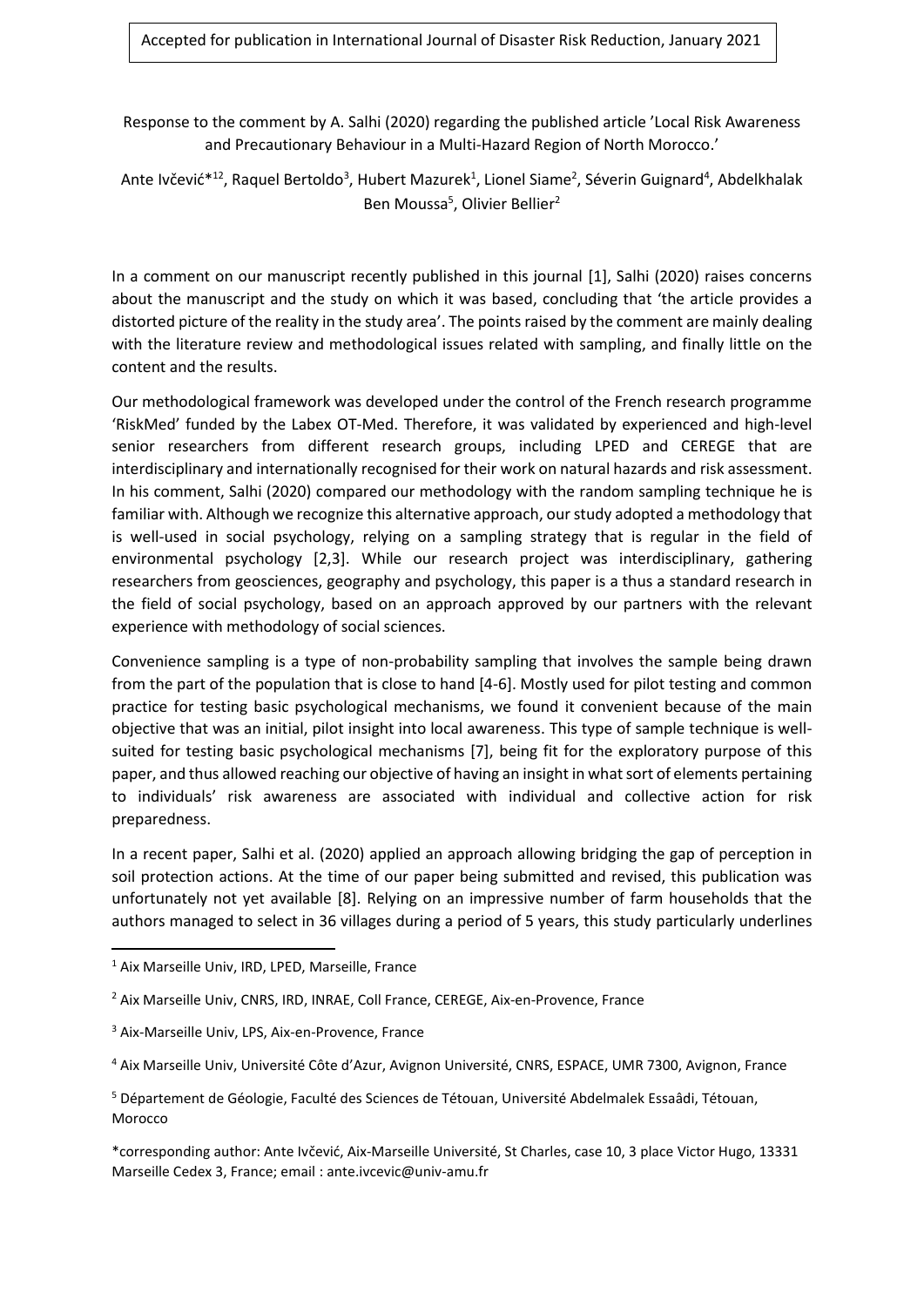Response to the comment by A. Salhi (2020) regarding the published article 'Local Risk Awareness and Precautionary Behaviour in a Multi-Hazard Region of North Morocco.'

Ante Ivčević\*<sup>12</sup>, Raquel Bertoldo<sup>3</sup>, Hubert Mazurek<sup>1</sup>, Lionel Siame<sup>2</sup>, Séverin Guignard<sup>4</sup>, Abdelkhalak Ben Moussa<sup>5</sup>, Olivier Bellier<sup>2</sup>

In a comment on our manuscript recently published in this journal [1], Salhi (2020) raises concerns about the manuscript and the study on which it was based, concluding that 'the article provides a distorted picture of the reality in the study area'. The points raised by the comment are mainly dealing with the literature review and methodological issues related with sampling, and finally little on the content and the results.

Our methodological framework was developed under the control of the French research programme 'RiskMed' funded by the Labex OT-Med. Therefore, it was validated by experienced and high-level senior researchers from different research groups, including LPED and CEREGE that are interdisciplinary and internationally recognised for their work on natural hazards and risk assessment. In his comment, Salhi (2020) compared our methodology with the random sampling technique he is familiar with. Although we recognize this alternative approach, our study adopted a methodology that is well-used in social psychology, relying on a sampling strategy that is regular in the field of environmental psychology [2,3]. While our research project was interdisciplinary, gathering researchers from geosciences, geography and psychology, this paper is a thus a standard research in the field of social psychology, based on an approach approved by our partners with the relevant experience with methodology of social sciences.

Convenience sampling is a type of non-probability sampling that involves the sample being drawn from the part of the population that is close to hand [4-6]. Mostly used for pilot testing and common practice for testing basic psychological mechanisms, we found it convenient because of the main objective that was an initial, pilot insight into local awareness. This type of sample technique is wellsuited for testing basic psychological mechanisms [7], being fit for the exploratory purpose of this paper, and thus allowed reaching our objective of having an insight in what sort of elements pertaining to individuals' risk awareness are associated with individual and collective action for risk preparedness.

In a recent paper, Salhi et al. (2020) applied an approach allowing bridging the gap of perception in soil protection actions. At the time of our paper being submitted and revised, this publication was unfortunately not yet available [8]. Relying on an impressive number of farm households that the authors managed to select in 36 villages during a period of 5 years, this study particularly underlines

<sup>1</sup> Aix Marseille Univ, IRD, LPED, Marseille, France

<sup>2</sup> Aix Marseille Univ, CNRS, IRD, INRAE, Coll France, CEREGE, Aix-en-Provence, France

<sup>3</sup> Aix-Marseille Univ, LPS, Aix-en-Provence, France

<sup>4</sup> Aix Marseille Univ, Université Côte d'Azur, Avignon Université, CNRS, ESPACE, UMR 7300, Avignon, France

<sup>5</sup> Département de Géologie, Faculté des Sciences de Tétouan, Université Abdelmalek Essaâdi, Tétouan, Morocco

<sup>\*</sup>corresponding author: Ante Ivčević, Aix-Marseille Université, St Charles, case 10, 3 place Victor Hugo, 13331 Marseille Cedex 3, France; email : ante.ivcevic@univ-amu.fr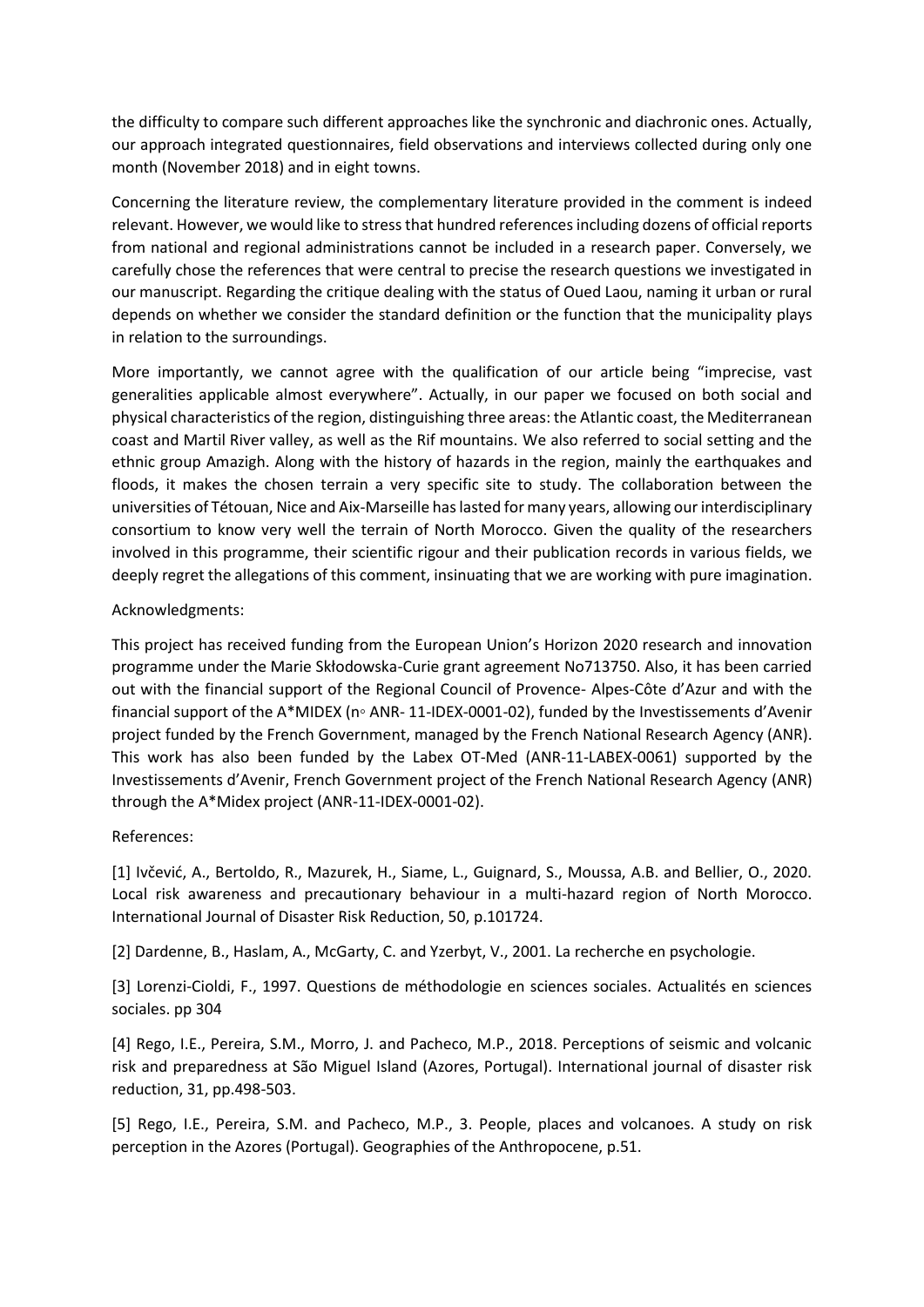the difficulty to compare such different approaches like the synchronic and diachronic ones. Actually, our approach integrated questionnaires, field observations and interviews collected during only one month (November 2018) and in eight towns.

Concerning the literature review, the complementary literature provided in the comment is indeed relevant. However, we would like to stress that hundred references including dozens of official reports from national and regional administrations cannot be included in a research paper. Conversely, we carefully chose the references that were central to precise the research questions we investigated in our manuscript. Regarding the critique dealing with the status of Oued Laou, naming it urban or rural depends on whether we consider the standard definition or the function that the municipality plays in relation to the surroundings.

More importantly, we cannot agree with the qualification of our article being "imprecise, vast generalities applicable almost everywhere". Actually, in our paper we focused on both social and physical characteristics of the region, distinguishing three areas: the Atlantic coast, the Mediterranean coast and Martil River valley, as well as the Rif mountains. We also referred to social setting and the ethnic group Amazigh. Along with the history of hazards in the region, mainly the earthquakes and floods, it makes the chosen terrain a very specific site to study. The collaboration between the universities of Tétouan, Nice and Aix-Marseille has lasted for many years, allowing our interdisciplinary consortium to know very well the terrain of North Morocco. Given the quality of the researchers involved in this programme, their scientific rigour and their publication records in various fields, we deeply regret the allegations of this comment, insinuating that we are working with pure imagination.

### Acknowledgments:

This project has received funding from the European Union's Horizon 2020 research and innovation programme under the Marie Skłodowska-Curie grant agreement No713750. Also, it has been carried out with the financial support of the Regional Council of Provence- Alpes-Côte d'Azur and with the financial support of the A\*MIDEX (n◦ ANR- 11-IDEX-0001-02), funded by the Investissements d'Avenir project funded by the French Government, managed by the French National Research Agency (ANR). This work has also been funded by the Labex OT-Med (ANR-11-LABEX-0061) supported by the Investissements d'Avenir, French Government project of the French National Research Agency (ANR) through the A\*Midex project (ANR-11-IDEX-0001-02).

### References:

[1] Ivčević, A., Bertoldo, R., Mazurek, H., Siame, L., Guignard, S., Moussa, A.B. and Bellier, O., 2020. Local risk awareness and precautionary behaviour in a multi-hazard region of North Morocco. International Journal of Disaster Risk Reduction, 50, p.101724.

[2] Dardenne, B., Haslam, A., McGarty, C. and Yzerbyt, V., 2001. La recherche en psychologie.

[3] Lorenzi-Cioldi, F., 1997. Questions de méthodologie en sciences sociales. Actualités en sciences sociales. pp 304

[4] Rego, I.E., Pereira, S.M., Morro, J. and Pacheco, M.P., 2018. Perceptions of seismic and volcanic risk and preparedness at São Miguel Island (Azores, Portugal). International journal of disaster risk reduction, 31, pp.498-503.

[5] Rego, I.E., Pereira, S.M. and Pacheco, M.P., 3. People, places and volcanoes. A study on risk perception in the Azores (Portugal). Geographies of the Anthropocene, p.51.